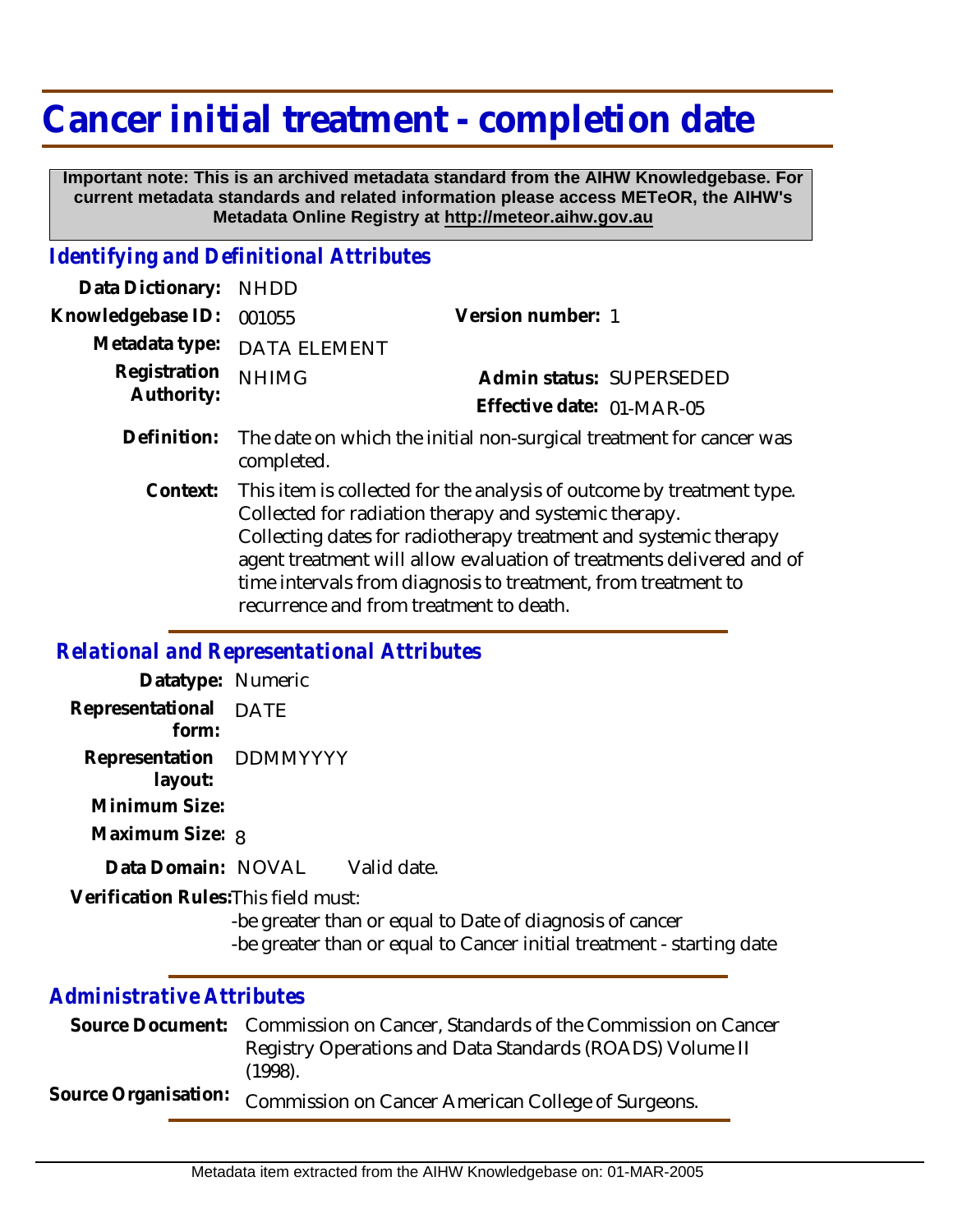# **Cancer initial treatment - completion date**

 **Important note: This is an archived metadata standard from the AIHW Knowledgebase. For current metadata standards and related information please access METeOR, the AIHW's Metadata Online Registry at http://meteor.aihw.gov.au**

### *Identifying and Definitional Attributes*

| Data Dictionary: NHDD    |                             |                           |  |
|--------------------------|-----------------------------|---------------------------|--|
| Knowledgebase ID: 001055 |                             | Version number: 1         |  |
|                          | Metadata type: DATA ELEMENT |                           |  |
| Registration NHIMG       |                             | Admin status: SUPERSEDED  |  |
| Authority:               |                             | Effective date: 01-MAR-05 |  |
|                          |                             |                           |  |

- The date on which the initial non-surgical treatment for cancer was completed. **Definition:**
	- This item is collected for the analysis of outcome by treatment type. Collected for radiation therapy and systemic therapy. Collecting dates for radiotherapy treatment and systemic therapy agent treatment will allow evaluation of treatments delivered and of time intervals from diagnosis to treatment, from treatment to recurrence and from treatment to death. **Context:**

#### *Relational and Representational Attributes*

| Datatype: Numeric                    |                                                                                                                                   |
|--------------------------------------|-----------------------------------------------------------------------------------------------------------------------------------|
| Representational DATE<br>form:       |                                                                                                                                   |
| Representation DDMMYYYY<br>layout:   |                                                                                                                                   |
| Minimum Size:                        |                                                                                                                                   |
| Maximum Size: 8                      |                                                                                                                                   |
| Data Domain: NOVAL                   | Valid date.                                                                                                                       |
| Verification Rules: This field must: |                                                                                                                                   |
|                                      | -be greater than or equal to Date of diagnosis of cancer<br>-be greater than or equal to Cancer initial treatment - starting date |

#### *Administrative Attributes*

| Source Document: Commission on Cancer, Standards of the Commission on Cancer |
|------------------------------------------------------------------------------|
| Registry Operations and Data Standards (ROADS) Volume II<br>$(1998)$ .       |
| Source Organisation: Commission on Cancer American College of Surgeons.      |